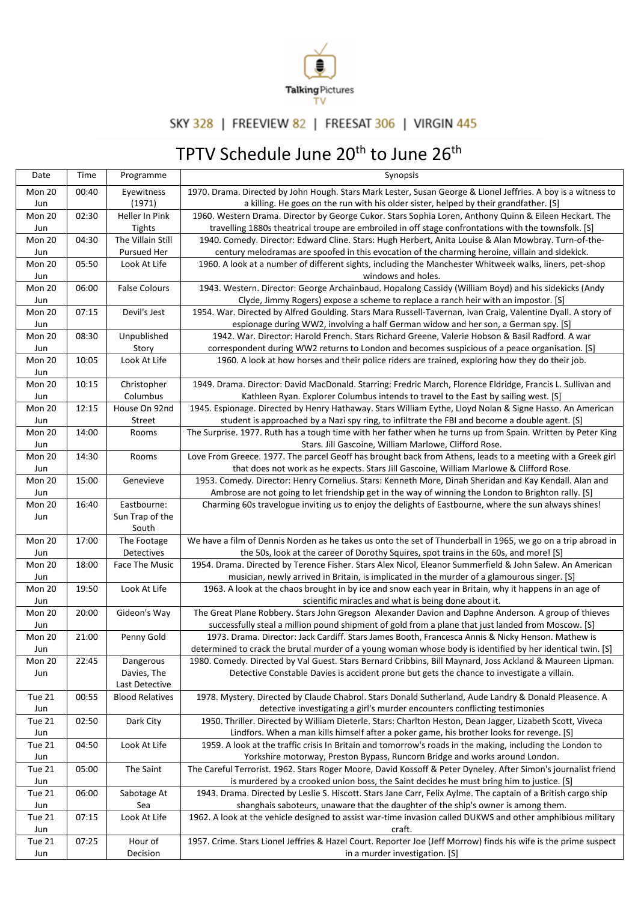

## SKY 328 | FREEVIEW 82 | FREESAT 306 | VIRGIN 445

## TPTV Schedule June 20<sup>th</sup> to June 26<sup>th</sup>

| Date          | Time  | Programme              | Synopsis                                                                                                                                                                                           |
|---------------|-------|------------------------|----------------------------------------------------------------------------------------------------------------------------------------------------------------------------------------------------|
| Mon 20        | 00:40 | Eyewitness             | 1970. Drama. Directed by John Hough. Stars Mark Lester, Susan George & Lionel Jeffries. A boy is a witness to                                                                                      |
| Jun           |       | (1971)                 | a killing. He goes on the run with his older sister, helped by their grandfather. [S]                                                                                                              |
| Mon 20        | 02:30 | Heller In Pink         | 1960. Western Drama. Director by George Cukor. Stars Sophia Loren, Anthony Quinn & Eileen Heckart. The                                                                                             |
| Jun           |       | Tights                 | travelling 1880s theatrical troupe are embroiled in off stage confrontations with the townsfolk. [S]                                                                                               |
| Mon 20        | 04:30 | The Villain Still      | 1940. Comedy. Director: Edward Cline. Stars: Hugh Herbert, Anita Louise & Alan Mowbray. Turn-of-the-                                                                                               |
| Jun           |       | Pursued Her            | century melodramas are spoofed in this evocation of the charming heroine, villain and sidekick.                                                                                                    |
| Mon 20        | 05:50 | Look At Life           | 1960. A look at a number of different sights, including the Manchester Whitweek walks, liners, pet-shop                                                                                            |
| Jun<br>Mon 20 | 06:00 | <b>False Colours</b>   | windows and holes.<br>1943. Western. Director: George Archainbaud. Hopalong Cassidy (William Boyd) and his sidekicks (Andy                                                                         |
| Jun           |       |                        | Clyde, Jimmy Rogers) expose a scheme to replace a ranch heir with an impostor. [S]                                                                                                                 |
| Mon 20        | 07:15 | Devil's Jest           | 1954. War. Directed by Alfred Goulding. Stars Mara Russell-Tavernan, Ivan Craig, Valentine Dyall. A story of                                                                                       |
| Jun           |       |                        | espionage during WW2, involving a half German widow and her son, a German spy. [S]                                                                                                                 |
| Mon 20        | 08:30 | Unpublished            | 1942. War. Director: Harold French. Stars Richard Greene, Valerie Hobson & Basil Radford. A war                                                                                                    |
| Jun           |       | Story                  | correspondent during WW2 returns to London and becomes suspicious of a peace organisation. [S]                                                                                                     |
| Mon 20        | 10:05 | Look At Life           | 1960. A look at how horses and their police riders are trained, exploring how they do their job.                                                                                                   |
| Jun           |       |                        |                                                                                                                                                                                                    |
| Mon 20        | 10:15 | Christopher            | 1949. Drama. Director: David MacDonald. Starring: Fredric March, Florence Eldridge, Francis L. Sullivan and                                                                                        |
| Jun           |       | Columbus               | Kathleen Ryan. Explorer Columbus intends to travel to the East by sailing west. [S]                                                                                                                |
| Mon 20        | 12:15 | House On 92nd          | 1945. Espionage. Directed by Henry Hathaway. Stars William Eythe, Lloyd Nolan & Signe Hasso. An American                                                                                           |
| Jun           |       | Street                 | student is approached by a Nazi spy ring, to infiltrate the FBI and become a double agent. [S]                                                                                                     |
| Mon 20        | 14:00 | Rooms                  | The Surprise. 1977. Ruth has a tough time with her father when he turns up from Spain. Written by Peter King                                                                                       |
| Jun           |       |                        | Stars. Jill Gascoine, William Marlowe, Clifford Rose.                                                                                                                                              |
| Mon 20        | 14:30 | Rooms                  | Love From Greece. 1977. The parcel Geoff has brought back from Athens, leads to a meeting with a Greek girl                                                                                        |
| Jun           |       |                        | that does not work as he expects. Stars Jill Gascoine, William Marlowe & Clifford Rose.                                                                                                            |
| Mon 20        | 15:00 | Genevieve              | 1953. Comedy. Director: Henry Cornelius. Stars: Kenneth More, Dinah Sheridan and Kay Kendall. Alan and                                                                                             |
| Jun           |       |                        | Ambrose are not going to let friendship get in the way of winning the London to Brighton rally. [S]                                                                                                |
| Mon 20        | 16:40 | Eastbourne:            | Charming 60s travelogue inviting us to enjoy the delights of Eastbourne, where the sun always shines!                                                                                              |
| Jun           |       | Sun Trap of the        |                                                                                                                                                                                                    |
| Mon 20        | 17:00 | South<br>The Footage   | We have a film of Dennis Norden as he takes us onto the set of Thunderball in 1965, we go on a trip abroad in                                                                                      |
| Jun           |       | Detectives             | the 50s, look at the career of Dorothy Squires, spot trains in the 60s, and more! [S]                                                                                                              |
| Mon 20        | 18:00 | Face The Music         | 1954. Drama. Directed by Terence Fisher. Stars Alex Nicol, Eleanor Summerfield & John Salew. An American                                                                                           |
| Jun           |       |                        | musician, newly arrived in Britain, is implicated in the murder of a glamourous singer. [S]                                                                                                        |
| Mon 20        | 19:50 | Look At Life           | 1963. A look at the chaos brought in by ice and snow each year in Britain, why it happens in an age of                                                                                             |
| Jun           |       |                        | scientific miracles and what is being done about it.                                                                                                                                               |
| Mon 20        | 20:00 | Gideon's Way           | The Great Plane Robbery. Stars John Gregson Alexander Davion and Daphne Anderson. A group of thieves                                                                                               |
| Jun           |       |                        | successfully steal a million pound shipment of gold from a plane that just landed from Moscow. [S]                                                                                                 |
| Mon 20        | 21:00 | Penny Gold             | 1973. Drama. Director: Jack Cardiff. Stars James Booth, Francesca Annis & Nicky Henson. Mathew is                                                                                                  |
| Jun           |       |                        | determined to crack the brutal murder of a young woman whose body is identified by her identical twin. [S]                                                                                         |
| Mon 20        | 22:45 | Dangerous              | 1980. Comedy. Directed by Val Guest. Stars Bernard Cribbins, Bill Maynard, Joss Ackland & Maureen Lipman.                                                                                          |
| Jun           |       | Davies, The            | Detective Constable Davies is accident prone but gets the chance to investigate a villain.                                                                                                         |
|               |       | Last Detective         |                                                                                                                                                                                                    |
| Tue 21        | 00:55 | <b>Blood Relatives</b> | 1978. Mystery. Directed by Claude Chabrol. Stars Donald Sutherland, Aude Landry & Donald Pleasence. A                                                                                              |
| Jun           |       |                        | detective investigating a girl's murder encounters conflicting testimonies                                                                                                                         |
| Tue 21        | 02:50 | Dark City              | 1950. Thriller. Directed by William Dieterle. Stars: Charlton Heston, Dean Jagger, Lizabeth Scott, Viveca                                                                                          |
| Jun           |       |                        | Lindfors. When a man kills himself after a poker game, his brother looks for revenge. [S]                                                                                                          |
| Tue 21        | 04:50 | Look At Life           | 1959. A look at the traffic crisis In Britain and tomorrow's roads in the making, including the London to                                                                                          |
| Jun           |       |                        | Yorkshire motorway, Preston Bypass, Runcorn Bridge and works around London.                                                                                                                        |
| Tue 21        | 05:00 | The Saint              | The Careful Terrorist. 1962. Stars Roger Moore, David Kossoff & Peter Dyneley. After Simon's journalist friend                                                                                     |
| Jun           |       |                        | is murdered by a crooked union boss, the Saint decides he must bring him to justice. [S]                                                                                                           |
| Tue 21        | 06:00 | Sabotage At            | 1943. Drama. Directed by Leslie S. Hiscott. Stars Jane Carr, Felix Aylme. The captain of a British cargo ship<br>shanghais saboteurs, unaware that the daughter of the ship's owner is among them. |
| Jun<br>Tue 21 | 07:15 | Sea<br>Look At Life    | 1962. A look at the vehicle designed to assist war-time invasion called DUKWS and other amphibious military                                                                                        |
| Jun           |       |                        | craft.                                                                                                                                                                                             |
| Tue 21        | 07:25 | Hour of                | 1957. Crime. Stars Lionel Jeffries & Hazel Court. Reporter Joe (Jeff Morrow) finds his wife is the prime suspect                                                                                   |
| Jun           |       | Decision               | in a murder investigation. [S]                                                                                                                                                                     |
|               |       |                        |                                                                                                                                                                                                    |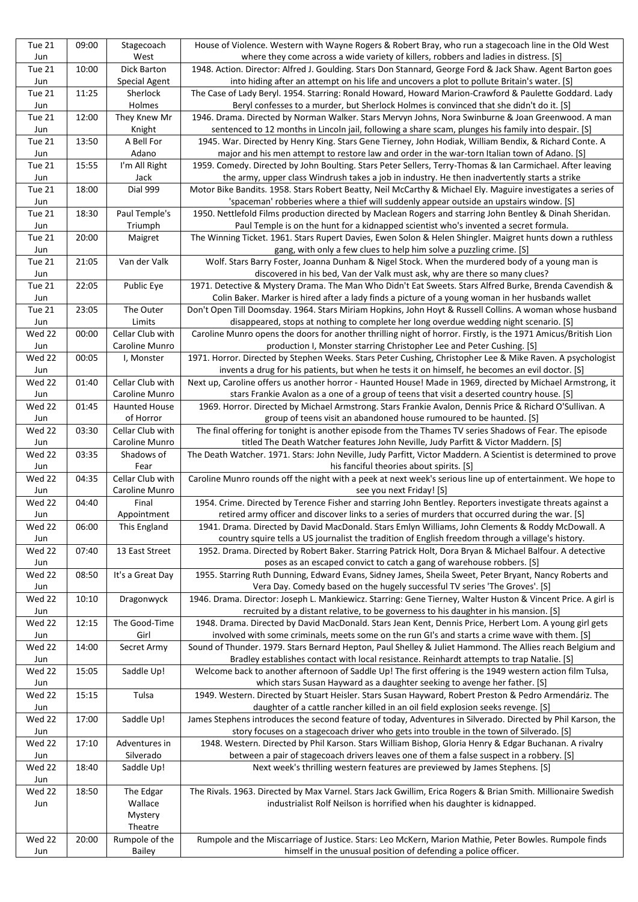| Tue 21<br>Jun        | 09:00 | Stagecoach<br>West                | House of Violence. Western with Wayne Rogers & Robert Bray, who run a stagecoach line in the Old West<br>where they come across a wide variety of killers, robbers and ladies in distress. [S]                 |
|----------------------|-------|-----------------------------------|----------------------------------------------------------------------------------------------------------------------------------------------------------------------------------------------------------------|
| Tue 21               | 10:00 | Dick Barton                       | 1948. Action. Director: Alfred J. Goulding. Stars Don Stannard, George Ford & Jack Shaw. Agent Barton goes                                                                                                     |
| Jun                  |       | Special Agent                     | into hiding after an attempt on his life and uncovers a plot to pollute Britain's water. [S]                                                                                                                   |
| <b>Tue 21</b>        | 11:25 | Sherlock                          | The Case of Lady Beryl. 1954. Starring: Ronald Howard, Howard Marion-Crawford & Paulette Goddard. Lady                                                                                                         |
| Jun                  |       | Holmes                            | Beryl confesses to a murder, but Sherlock Holmes is convinced that she didn't do it. [S]                                                                                                                       |
| Tue 21<br>Jun        | 12:00 | They Knew Mr<br>Knight            | 1946. Drama. Directed by Norman Walker. Stars Mervyn Johns, Nora Swinburne & Joan Greenwood. A man<br>sentenced to 12 months in Lincoln jail, following a share scam, plunges his family into despair. [S]     |
| Tue 21               | 13:50 | A Bell For                        | 1945. War. Directed by Henry King. Stars Gene Tierney, John Hodiak, William Bendix, & Richard Conte. A                                                                                                         |
| Jun                  |       | Adano                             | major and his men attempt to restore law and order in the war-torn Italian town of Adano. [S]                                                                                                                  |
| Tue 21<br>Jun        | 15:55 | I'm All Right<br>Jack             | 1959. Comedy. Directed by John Boulting. Stars Peter Sellers, Terry-Thomas & Ian Carmichael. After leaving<br>the army, upper class Windrush takes a job in industry. He then inadvertently starts a strike    |
| <b>Tue 21</b><br>Jun | 18:00 | Dial 999                          | Motor Bike Bandits. 1958. Stars Robert Beatty, Neil McCarthy & Michael Ely. Maguire investigates a series of<br>'spaceman' robberies where a thief will suddenly appear outside an upstairs window. [S]        |
| Tue 21<br>Jun        | 18:30 | Paul Temple's<br>Triumph          | 1950. Nettlefold Films production directed by Maclean Rogers and starring John Bentley & Dinah Sheridan.<br>Paul Temple is on the hunt for a kidnapped scientist who's invented a secret formula.              |
| Tue 21               | 20:00 | Maigret                           | The Winning Ticket. 1961. Stars Rupert Davies, Ewen Solon & Helen Shingler. Maigret hunts down a ruthless                                                                                                      |
| Jun                  |       |                                   | gang, with only a few clues to help him solve a puzzling crime. [S]                                                                                                                                            |
| Tue 21<br>Jun        | 21:05 | Van der Valk                      | Wolf. Stars Barry Foster, Joanna Dunham & Nigel Stock. When the murdered body of a young man is<br>discovered in his bed, Van der Valk must ask, why are there so many clues?                                  |
| Tue 21               | 22:05 | Public Eye                        | 1971. Detective & Mystery Drama. The Man Who Didn't Eat Sweets. Stars Alfred Burke, Brenda Cavendish &                                                                                                         |
| Jun<br>Tue 21        | 23:05 | The Outer                         | Colin Baker. Marker is hired after a lady finds a picture of a young woman in her husbands wallet<br>Don't Open Till Doomsday. 1964. Stars Miriam Hopkins, John Hoyt & Russell Collins. A woman whose husband  |
| Jun                  |       | Limits                            | disappeared, stops at nothing to complete her long overdue wedding night scenario. [S]                                                                                                                         |
| Wed 22               | 00:00 | Cellar Club with                  | Caroline Munro opens the doors for another thrilling night of horror. Firstly, is the 1971 Amicus/British Lion                                                                                                 |
| Jun                  |       | Caroline Munro                    | production I, Monster starring Christopher Lee and Peter Cushing. [S]                                                                                                                                          |
| Wed 22<br>Jun        | 00:05 | I, Monster                        | 1971. Horror. Directed by Stephen Weeks. Stars Peter Cushing, Christopher Lee & Mike Raven. A psychologist<br>invents a drug for his patients, but when he tests it on himself, he becomes an evil doctor. [S] |
| Wed 22               | 01:40 | Cellar Club with                  | Next up, Caroline offers us another horror - Haunted House! Made in 1969, directed by Michael Armstrong, it                                                                                                    |
| Jun                  |       | Caroline Munro                    | stars Frankie Avalon as a one of a group of teens that visit a deserted country house. [S]                                                                                                                     |
| Wed 22<br>Jun        | 01:45 | <b>Haunted House</b><br>of Horror | 1969. Horror. Directed by Michael Armstrong. Stars Frankie Avalon, Dennis Price & Richard O'Sullivan. A<br>group of teens visit an abandoned house rumoured to be haunted. [S]                                 |
| Wed 22               | 03:30 | Cellar Club with                  | The final offering for tonight is another episode from the Thames TV series Shadows of Fear. The episode                                                                                                       |
| Jun                  |       | Caroline Munro                    | titled The Death Watcher features John Neville, Judy Parfitt & Victor Maddern. [S]                                                                                                                             |
| Wed 22<br>Jun        | 03:35 | Shadows of<br>Fear                | The Death Watcher. 1971. Stars: John Neville, Judy Parfitt, Victor Maddern. A Scientist is determined to prove<br>his fanciful theories about spirits. [S]                                                     |
| Wed 22               | 04:35 | Cellar Club with                  | Caroline Munro rounds off the night with a peek at next week's serious line up of entertainment. We hope to                                                                                                    |
| Jun                  |       | Caroline Munro                    | see you next Friday! [S]                                                                                                                                                                                       |
| Wed 22<br>Jun        | 04:40 | Final<br>Appointment              | 1954. Crime. Directed by Terence Fisher and starring John Bentley. Reporters investigate threats against a<br>retired army officer and discover links to a series of murders that occurred during the war. [S] |
| Wed 22               | 06:00 |                                   | 1941. Drama. Directed by David MacDonald. Stars Emlyn Williams, John Clements & Roddy McDowall. A                                                                                                              |
|                      |       | This England                      |                                                                                                                                                                                                                |
| Jun                  |       |                                   | country squire tells a US journalist the tradition of English freedom through a village's history.                                                                                                             |
| Wed 22               | 07:40 | 13 East Street                    | 1952. Drama. Directed by Robert Baker. Starring Patrick Holt, Dora Bryan & Michael Balfour. A detective                                                                                                        |
| Jun<br>Wed 22        | 08:50 | It's a Great Day                  | poses as an escaped convict to catch a gang of warehouse robbers. [S]<br>1955. Starring Ruth Dunning, Edward Evans, Sidney James, Sheila Sweet, Peter Bryant, Nancy Roberts and                                |
| Jun                  |       |                                   | Vera Day. Comedy based on the hugely successful TV series 'The Groves'. [S]                                                                                                                                    |
| Wed 22<br>Jun        | 10:10 | Dragonwyck                        | 1946. Drama. Director: Joseph L. Mankiewicz. Starring: Gene Tierney, Walter Huston & Vincent Price. A girl is<br>recruited by a distant relative, to be governess to his daughter in his mansion. [S]          |
| Wed 22               | 12:15 | The Good-Time                     | 1948. Drama. Directed by David MacDonald. Stars Jean Kent, Dennis Price, Herbert Lom. A young girl gets                                                                                                        |
| Jun                  |       | Girl                              | involved with some criminals, meets some on the run GI's and starts a crime wave with them. [S]                                                                                                                |
| Wed 22               | 14:00 | Secret Army                       | Sound of Thunder. 1979. Stars Bernard Hepton, Paul Shelley & Juliet Hammond. The Allies reach Belgium and                                                                                                      |
| Jun<br>Wed 22        | 15:05 | Saddle Up!                        | Bradley establishes contact with local resistance. Reinhardt attempts to trap Natalie. [S]<br>Welcome back to another afternoon of Saddle Up! The first offering is the 1949 western action film Tulsa,        |
| Jun                  |       |                                   | which stars Susan Hayward as a daughter seeking to avenge her father. [S]                                                                                                                                      |
| Wed 22<br>Jun        | 15:15 | Tulsa                             | 1949. Western. Directed by Stuart Heisler. Stars Susan Hayward, Robert Preston & Pedro Armendáriz. The<br>daughter of a cattle rancher killed in an oil field explosion seeks revenge. [S]                     |
| Wed 22               | 17:00 | Saddle Up!                        | James Stephens introduces the second feature of today, Adventures in Silverado. Directed by Phil Karson, the                                                                                                   |
| Jun                  |       |                                   | story focuses on a stagecoach driver who gets into trouble in the town of Silverado. [S]                                                                                                                       |
| Wed 22<br>Jun        | 17:10 | Adventures in<br>Silverado        | 1948. Western. Directed by Phil Karson. Stars William Bishop, Gloria Henry & Edgar Buchanan. A rivalry<br>between a pair of stagecoach drivers leaves one of them a false suspect in a robbery. [S]            |
| Wed 22<br>Jun        | 18:40 | Saddle Up!                        | Next week's thrilling western features are previewed by James Stephens. [S]                                                                                                                                    |
| Wed 22               | 18:50 | The Edgar                         | The Rivals. 1963. Directed by Max Varnel. Stars Jack Gwillim, Erica Rogers & Brian Smith. Millionaire Swedish                                                                                                  |
| Jun                  |       | Wallace                           | industrialist Rolf Neilson is horrified when his daughter is kidnapped.                                                                                                                                        |
|                      |       | Mystery<br>Theatre                |                                                                                                                                                                                                                |
| Wed 22               | 20:00 | Rumpole of the                    | Rumpole and the Miscarriage of Justice. Stars: Leo McKern, Marion Mathie, Peter Bowles. Rumpole finds                                                                                                          |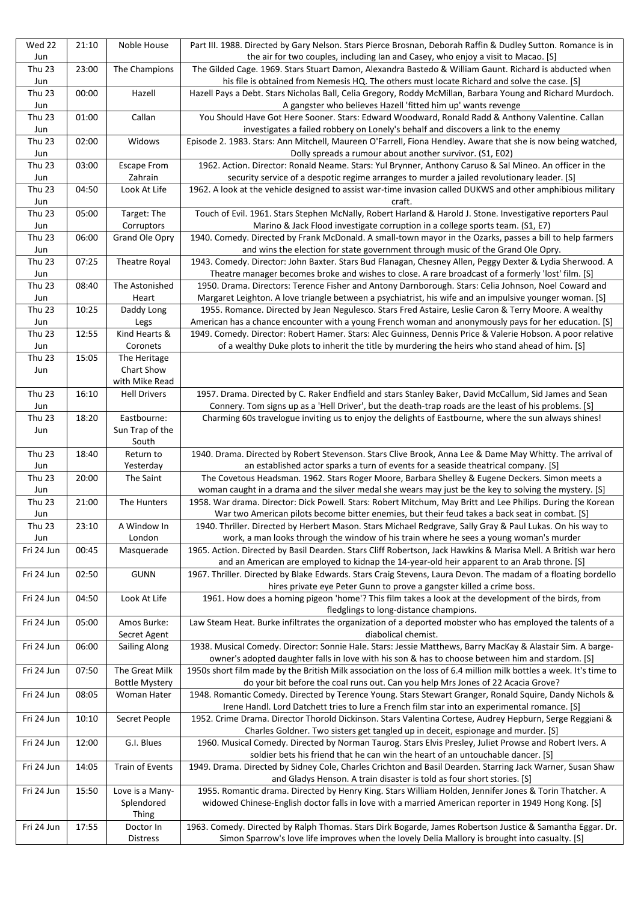| Wed 22<br>Jun        | 21:10 | Noble House                             | Part III. 1988. Directed by Gary Nelson. Stars Pierce Brosnan, Deborah Raffin & Dudley Sutton. Romance is in<br>the air for two couples, including Ian and Casey, who enjoy a visit to Macao. [S]                   |
|----------------------|-------|-----------------------------------------|---------------------------------------------------------------------------------------------------------------------------------------------------------------------------------------------------------------------|
| <b>Thu 23</b>        | 23:00 | The Champions                           | The Gilded Cage. 1969. Stars Stuart Damon, Alexandra Bastedo & William Gaunt. Richard is abducted when                                                                                                              |
| Jun                  |       |                                         | his file is obtained from Nemesis HQ. The others must locate Richard and solve the case. [S]                                                                                                                        |
| <b>Thu 23</b><br>Jun | 00:00 | Hazell                                  | Hazell Pays a Debt. Stars Nicholas Ball, Celia Gregory, Roddy McMillan, Barbara Young and Richard Murdoch.<br>A gangster who believes Hazell 'fitted him up' wants revenge                                          |
| <b>Thu 23</b><br>Jun | 01:00 | Callan                                  | You Should Have Got Here Sooner. Stars: Edward Woodward, Ronald Radd & Anthony Valentine. Callan<br>investigates a failed robbery on Lonely's behalf and discovers a link to the enemy                              |
| <b>Thu 23</b><br>Jun | 02:00 | Widows                                  | Episode 2. 1983. Stars: Ann Mitchell, Maureen O'Farrell, Fiona Hendley. Aware that she is now being watched,<br>Dolly spreads a rumour about another survivor. (S1, E02)                                            |
| <b>Thu 23</b>        | 03:00 | <b>Escape From</b>                      | 1962. Action. Director: Ronald Neame. Stars: Yul Brynner, Anthony Caruso & Sal Mineo. An officer in the                                                                                                             |
| Jun                  |       | Zahrain                                 | security service of a despotic regime arranges to murder a jailed revolutionary leader. [S]                                                                                                                         |
| <b>Thu 23</b><br>Jun | 04:50 | Look At Life                            | 1962. A look at the vehicle designed to assist war-time invasion called DUKWS and other amphibious military<br>craft.                                                                                               |
| <b>Thu 23</b><br>Jun | 05:00 | Target: The<br>Corruptors               | Touch of Evil. 1961. Stars Stephen McNally, Robert Harland & Harold J. Stone. Investigative reporters Paul<br>Marino & Jack Flood investigate corruption in a college sports team. (S1, E7)                         |
| Thu 23<br>Jun        | 06:00 | Grand Ole Opry                          | 1940. Comedy. Directed by Frank McDonald. A small-town mayor in the Ozarks, passes a bill to help farmers<br>and wins the election for state government through music of the Grand Ole Opry.                        |
| <b>Thu 23</b><br>Jun | 07:25 | Theatre Royal                           | 1943. Comedy. Director: John Baxter. Stars Bud Flanagan, Chesney Allen, Peggy Dexter & Lydia Sherwood. A<br>Theatre manager becomes broke and wishes to close. A rare broadcast of a formerly 'lost' film. [S]      |
| <b>Thu 23</b>        | 08:40 | The Astonished                          | 1950. Drama. Directors: Terence Fisher and Antony Darnborough. Stars: Celia Johnson, Noel Coward and                                                                                                                |
| Jun                  |       | Heart                                   | Margaret Leighton. A love triangle between a psychiatrist, his wife and an impulsive younger woman. [S]                                                                                                             |
| Thu 23               | 10:25 | Daddy Long                              | 1955. Romance. Directed by Jean Negulesco. Stars Fred Astaire, Leslie Caron & Terry Moore. A wealthy                                                                                                                |
| Jun<br><b>Thu 23</b> | 12:55 | Legs<br>Kind Hearts &                   | American has a chance encounter with a young French woman and anonymously pays for her education. [S]<br>1949. Comedy. Director: Robert Hamer. Stars: Alec Guinness, Dennis Price & Valerie Hobson. A poor relative |
| Jun                  |       | Coronets                                | of a wealthy Duke plots to inherit the title by murdering the heirs who stand ahead of him. [S]                                                                                                                     |
| <b>Thu 23</b>        | 15:05 | The Heritage                            |                                                                                                                                                                                                                     |
| Jun                  |       | Chart Show                              |                                                                                                                                                                                                                     |
| Thu 23               | 16:10 | with Mike Read<br><b>Hell Drivers</b>   | 1957. Drama. Directed by C. Raker Endfield and stars Stanley Baker, David McCallum, Sid James and Sean                                                                                                              |
| Jun                  |       |                                         | Connery. Tom signs up as a 'Hell Driver', but the death-trap roads are the least of his problems. [S]                                                                                                               |
| Thu 23               | 18:20 | Eastbourne:                             | Charming 60s travelogue inviting us to enjoy the delights of Eastbourne, where the sun always shines!                                                                                                               |
| Jun                  |       | Sun Trap of the<br>South                |                                                                                                                                                                                                                     |
| Thu 23               | 18:40 | Return to                               | 1940. Drama. Directed by Robert Stevenson. Stars Clive Brook, Anna Lee & Dame May Whitty. The arrival of                                                                                                            |
| Jun                  |       | Yesterday                               | an established actor sparks a turn of events for a seaside theatrical company. [S]                                                                                                                                  |
| Thu 23<br>Jun        | 20:00 | The Saint                               | The Covetous Headsman. 1962. Stars Roger Moore, Barbara Shelley & Eugene Deckers. Simon meets a<br>woman caught in a drama and the silver medal she wears may just be the key to solving the mystery. [S]           |
| Thu 23               | 21:00 | The Hunters                             | 1958. War drama. Director: Dick Powell. Stars: Robert Mitchum, May Britt and Lee Philips. During the Korean                                                                                                         |
| Jun                  |       |                                         | War two American pilots become bitter enemies, but their feud takes a back seat in combat. [S]                                                                                                                      |
| Thu 23               | 23:10 | A Window In                             | 1940. Thriller. Directed by Herbert Mason. Stars Michael Redgrave, Sally Gray & Paul Lukas. On his way to                                                                                                           |
| Jun<br>Fri 24 Jun    | 00:45 | London<br>Masquerade                    | work, a man looks through the window of his train where he sees a young woman's murder<br>1965. Action. Directed by Basil Dearden. Stars Cliff Robertson, Jack Hawkins & Marisa Mell. A British war hero            |
|                      |       |                                         | and an American are employed to kidnap the 14-year-old heir apparent to an Arab throne. [S]                                                                                                                         |
| Fri 24 Jun           | 02:50 | <b>GUNN</b>                             | 1967. Thriller. Directed by Blake Edwards. Stars Craig Stevens, Laura Devon. The madam of a floating bordello                                                                                                       |
| Fri 24 Jun           | 04:50 | Look At Life                            | hires private eye Peter Gunn to prove a gangster killed a crime boss.<br>1961. How does a homing pigeon 'home'? This film takes a look at the development of the birds, from                                        |
|                      |       |                                         | fledglings to long-distance champions.                                                                                                                                                                              |
| Fri 24 Jun           | 05:00 | Amos Burke:<br>Secret Agent             | Law Steam Heat. Burke infiltrates the organization of a deported mobster who has employed the talents of a<br>diabolical chemist.                                                                                   |
| Fri 24 Jun           | 06:00 | Sailing Along                           | 1938. Musical Comedy. Director: Sonnie Hale. Stars: Jessie Matthews, Barry MacKay & Alastair Sim. A barge-<br>owner's adopted daughter falls in love with his son & has to choose between him and stardom. [S]      |
| Fri 24 Jun           | 07:50 | The Great Milk<br><b>Bottle Mystery</b> | 1950s short film made by the British Milk association on the loss of 6.4 million milk bottles a week. It's time to<br>do your bit before the coal runs out. Can you help Mrs Jones of 22 Acacia Grove?              |
| Fri 24 Jun           | 08:05 | Woman Hater                             | 1948. Romantic Comedy. Directed by Terence Young. Stars Stewart Granger, Ronald Squire, Dandy Nichols &<br>Irene Handl. Lord Datchett tries to lure a French film star into an experimental romance. [S]            |
| Fri 24 Jun           | 10:10 | Secret People                           | 1952. Crime Drama. Director Thorold Dickinson. Stars Valentina Cortese, Audrey Hepburn, Serge Reggiani &                                                                                                            |
| Fri 24 Jun           | 12:00 | G.I. Blues                              | Charles Goldner. Two sisters get tangled up in deceit, espionage and murder. [S]<br>1960. Musical Comedy. Directed by Norman Taurog. Stars Elvis Presley, Juliet Prowse and Robert Ivers. A                         |
|                      |       |                                         | soldier bets his friend that he can win the heart of an untouchable dancer. [S]                                                                                                                                     |
| Fri 24 Jun           | 14:05 | Train of Events                         | 1949. Drama. Directed by Sidney Cole, Charles Crichton and Basil Dearden. Starring Jack Warner, Susan Shaw<br>and Gladys Henson. A train disaster is told as four short stories. [S]                                |
| Fri 24 Jun           | 15:50 | Love is a Many-<br>Splendored           | 1955. Romantic drama. Directed by Henry King. Stars William Holden, Jennifer Jones & Torin Thatcher. A<br>widowed Chinese-English doctor falls in love with a married American reporter in 1949 Hong Kong. [S]      |
|                      |       | <b>Thing</b>                            |                                                                                                                                                                                                                     |
| Fri 24 Jun           | 17:55 | Doctor In                               | 1963. Comedy. Directed by Ralph Thomas. Stars Dirk Bogarde, James Robertson Justice & Samantha Eggar. Dr.                                                                                                           |
|                      |       | Distress                                | Simon Sparrow's love life improves when the lovely Delia Mallory is brought into casualty. [S]                                                                                                                      |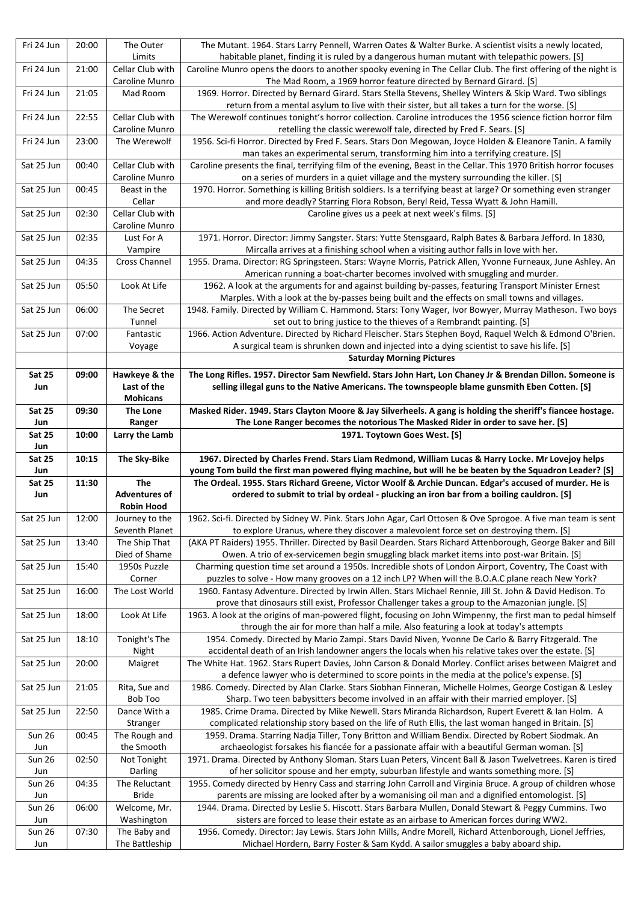| Fri 24 Jun           | 20:00 | The Outer<br>Limits                       | The Mutant. 1964. Stars Larry Pennell, Warren Oates & Walter Burke. A scientist visits a newly located,<br>habitable planet, finding it is ruled by a dangerous human mutant with telepathic powers. [S]            |
|----------------------|-------|-------------------------------------------|---------------------------------------------------------------------------------------------------------------------------------------------------------------------------------------------------------------------|
| Fri 24 Jun           | 21:00 | Cellar Club with<br>Caroline Munro        | Caroline Munro opens the doors to another spooky evening in The Cellar Club. The first offering of the night is<br>The Mad Room, a 1969 horror feature directed by Bernard Girard. [S]                              |
| Fri 24 Jun           | 21:05 | Mad Room                                  | 1969. Horror. Directed by Bernard Girard. Stars Stella Stevens, Shelley Winters & Skip Ward. Two siblings<br>return from a mental asylum to live with their sister, but all takes a turn for the worse. [S]         |
| Fri 24 Jun           | 22:55 | Cellar Club with<br>Caroline Munro        | The Werewolf continues tonight's horror collection. Caroline introduces the 1956 science fiction horror film<br>retelling the classic werewolf tale, directed by Fred F. Sears. [S]                                 |
| Fri 24 Jun           | 23:00 | The Werewolf                              | 1956. Sci-fi Horror. Directed by Fred F. Sears. Stars Don Megowan, Joyce Holden & Eleanore Tanin. A family<br>man takes an experimental serum, transforming him into a terrifying creature. [S]                     |
| Sat 25 Jun           | 00:40 | Cellar Club with<br>Caroline Munro        | Caroline presents the final, terrifying film of the evening, Beast in the Cellar. This 1970 British horror focuses<br>on a series of murders in a quiet village and the mystery surrounding the killer. [S]         |
| Sat 25 Jun           | 00:45 | Beast in the<br>Cellar                    | 1970. Horror. Something is killing British soldiers. Is a terrifying beast at large? Or something even stranger<br>and more deadly? Starring Flora Robson, Beryl Reid, Tessa Wyatt & John Hamill.                   |
| Sat 25 Jun           | 02:30 | Cellar Club with<br>Caroline Munro        | Caroline gives us a peek at next week's films. [S]                                                                                                                                                                  |
| Sat 25 Jun           | 02:35 | Lust For A<br>Vampire                     | 1971. Horror. Director: Jimmy Sangster. Stars: Yutte Stensgaard, Ralph Bates & Barbara Jefford. In 1830,<br>Mircalla arrives at a finishing school when a visiting author falls in love with her.                   |
| Sat 25 Jun           | 04:35 | Cross Channel                             | 1955. Drama. Director: RG Springsteen. Stars: Wayne Morris, Patrick Allen, Yvonne Furneaux, June Ashley. An<br>American running a boat-charter becomes involved with smuggling and murder.                          |
| Sat 25 Jun           | 05:50 | Look At Life                              | 1962. A look at the arguments for and against building by-passes, featuring Transport Minister Ernest<br>Marples. With a look at the by-passes being built and the effects on small towns and villages.             |
| Sat 25 Jun           | 06:00 | The Secret<br>Tunnel                      | 1948. Family. Directed by William C. Hammond. Stars: Tony Wager, Ivor Bowyer, Murray Matheson. Two boys<br>set out to bring justice to the thieves of a Rembrandt painting. [S]                                     |
| Sat 25 Jun           | 07:00 | Fantastic                                 | 1966. Action Adventure. Directed by Richard Fleischer. Stars Stephen Boyd, Raquel Welch & Edmond O'Brien.                                                                                                           |
|                      |       | Voyage                                    | A surgical team is shrunken down and injected into a dying scientist to save his life. [S]<br><b>Saturday Morning Pictures</b>                                                                                      |
| <b>Sat 25</b>        | 09:00 | Hawkeye & the                             | The Long Rifles. 1957. Director Sam Newfield. Stars John Hart, Lon Chaney Jr & Brendan Dillon. Someone is                                                                                                           |
| Jun                  |       | Last of the<br><b>Mohicans</b>            | selling illegal guns to the Native Americans. The townspeople blame gunsmith Eben Cotten. [S]                                                                                                                       |
| Sat 25<br>Jun        | 09:30 | <b>The Lone</b><br>Ranger                 | Masked Rider. 1949. Stars Clayton Moore & Jay Silverheels. A gang is holding the sheriff's fiancee hostage.<br>The Lone Ranger becomes the notorious The Masked Rider in order to save her. [S]                     |
| <b>Sat 25</b>        | 10:00 | Larry the Lamb                            | 1971. Toytown Goes West. [S]                                                                                                                                                                                        |
|                      |       |                                           |                                                                                                                                                                                                                     |
| Jun                  |       |                                           |                                                                                                                                                                                                                     |
| <b>Sat 25</b><br>Jun | 10:15 | The Sky-Bike                              | 1967. Directed by Charles Frend. Stars Liam Redmond, William Lucas & Harry Locke. Mr Lovejoy helps<br>young Tom build the first man powered flying machine, but will he be beaten by the Squadron Leader? [S]       |
| <b>Sat 25</b>        | 11:30 | <b>The</b>                                | The Ordeal. 1955. Stars Richard Greene, Victor Woolf & Archie Duncan. Edgar's accused of murder. He is                                                                                                              |
| Jun                  |       | <b>Adventures of</b><br><b>Robin Hood</b> | ordered to submit to trial by ordeal - plucking an iron bar from a boiling cauldron. [S]                                                                                                                            |
| Sat 25 Jun           | 12:00 | Journey to the<br>Seventh Planet          | 1962. Sci-fi. Directed by Sidney W. Pink. Stars John Agar, Carl Ottosen & Ove Sprogoe. A five man team is sent<br>to explore Uranus, where they discover a malevolent force set on destroying them. [S]             |
| Sat 25 Jun           | 13:40 | The Ship That                             | (AKA PT Raiders) 1955. Thriller. Directed by Basil Dearden. Stars Richard Attenborough, George Baker and Bill                                                                                                       |
| Sat 25 Jun           | 15:40 | Died of Shame<br>1950s Puzzle             | Owen. A trio of ex-servicemen begin smuggling black market items into post-war Britain. [S]<br>Charming question time set around a 1950s. Incredible shots of London Airport, Coventry, The Coast with              |
|                      |       | Corner                                    | puzzles to solve - How many grooves on a 12 inch LP? When will the B.O.A.C plane reach New York?                                                                                                                    |
| Sat 25 Jun           | 16:00 | The Lost World                            | 1960. Fantasy Adventure. Directed by Irwin Allen. Stars Michael Rennie, Jill St. John & David Hedison. To<br>prove that dinosaurs still exist, Professor Challenger takes a group to the Amazonian jungle. [S]      |
| Sat 25 Jun           | 18:00 | Look At Life                              | 1963. A look at the origins of man-powered flight, focusing on John Wimpenny, the first man to pedal himself                                                                                                        |
| Sat 25 Jun           | 18:10 | Tonight's The                             | through the air for more than half a mile. Also featuring a look at today's attempts<br>1954. Comedy. Directed by Mario Zampi. Stars David Niven, Yvonne De Carlo & Barry Fitzgerald. The                           |
| Sat 25 Jun           | 20:00 | Night<br>Maigret                          | accidental death of an Irish landowner angers the locals when his relative takes over the estate. [S]<br>The White Hat. 1962. Stars Rupert Davies, John Carson & Donald Morley. Conflict arises between Maigret and |
| Sat 25 Jun           | 21:05 | Rita, Sue and                             | a defence lawyer who is determined to score points in the media at the police's expense. [S]<br>1986. Comedy. Directed by Alan Clarke. Stars Siobhan Finneran, Michelle Holmes, George Costigan & Lesley            |
| Sat 25 Jun           | 22:50 | Bob Too<br>Dance With a                   | Sharp. Two teen babysitters become involved in an affair with their married employer. [S]<br>1985. Crime Drama. Directed by Mike Newell. Stars Miranda Richardson, Rupert Everett & Ian Holm. A                     |
|                      |       | Stranger                                  | complicated relationship story based on the life of Ruth Ellis, the last woman hanged in Britain. [S]                                                                                                               |
| <b>Sun 26</b><br>Jun | 00:45 | The Rough and<br>the Smooth               | 1959. Drama. Starring Nadja Tiller, Tony Britton and William Bendix. Directed by Robert Siodmak. An<br>archaeologist forsakes his fiancée for a passionate affair with a beautiful German woman. [S]                |
| <b>Sun 26</b>        | 02:50 | Not Tonight                               | 1971. Drama. Directed by Anthony Sloman. Stars Luan Peters, Vincent Ball & Jason Twelvetrees. Karen is tired                                                                                                        |
| Jun<br><b>Sun 26</b> | 04:35 | Darling<br>The Reluctant                  | of her solicitor spouse and her empty, suburban lifestyle and wants something more. [S]<br>1955. Comedy directed by Henry Cass and starring John Carroll and Virginia Bruce. A group of children whose              |
| Jun                  |       | <b>Bride</b>                              | parents are missing are looked after by a womanising oil man and a dignified entomologist. [S]                                                                                                                      |
| <b>Sun 26</b>        | 06:00 | Welcome, Mr.                              | 1944. Drama. Directed by Leslie S. Hiscott. Stars Barbara Mullen, Donald Stewart & Peggy Cummins. Two                                                                                                               |
| Jun<br><b>Sun 26</b> | 07:30 | Washington<br>The Baby and                | sisters are forced to lease their estate as an airbase to American forces during WW2.<br>1956. Comedy. Director: Jay Lewis. Stars John Mills, Andre Morell, Richard Attenborough, Lionel Jeffries,                  |